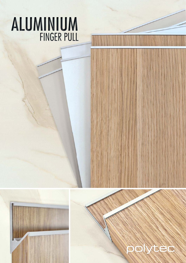# **ALUMINIUM**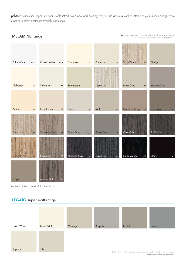polytec's Aluminium Finger Pull door profile introduces a new and exciting way to add an extra level of interest to your kitchen design while creating modern aesthetics through clean lines.



Available finishes  $M = M$ att **S** = Sheen

#### **LEGATO** super matt range

| Crisp White | <b>Bone White</b>                                                                                                                       | Montage | Bespoke | Castel | Serene |
|-------------|-----------------------------------------------------------------------------------------------------------------------------------------|---------|---------|--------|--------|
|             |                                                                                                                                         |         |         |        |        |
|             |                                                                                                                                         |         |         |        |        |
|             |                                                                                                                                         |         |         |        |        |
| Papyrus     | Silk                                                                                                                                    |         |         |        |        |
|             | Darker colours will show superficial wear and tear more readily than lighter coloured surfaces<br>and reauire more care and maintenance |         |         |        |        |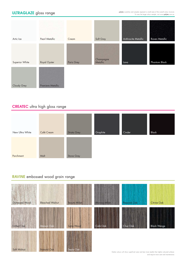# **ULTRAGLAZE** gloss range

polytec swatches and samples represent a small area of the overall colour structure. To view the large colour sample, visit www.polytec.com.au.

| Artic Ice      | Pearl Metallic           | Cream      | Soft Grey             | Anthracite Metallic | Raven Metallic |
|----------------|--------------------------|------------|-----------------------|---------------------|----------------|
| Superior White | Royal Oyster             | Paris Grey | Champagne<br>Metallic | Lava                | Phantom Black  |
| Cloudy Grey    | <b>Premiere Metallic</b> |            |                       |                     |                |

# **CREATEC** ultra high gloss range

| New Ultra White | Café Cream | <b>Strata Grey</b> | Graphite | Cinder | Black |
|-----------------|------------|--------------------|----------|--------|-------|
| Parchment       | Malt       | Stone Grey         |          |        |       |

### **RAVINE** embossed wood grain range